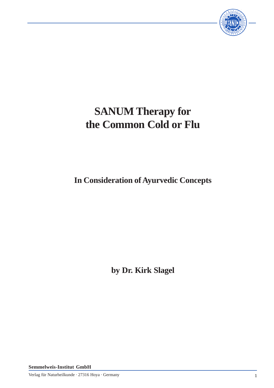

# **SANUM Therapy for the Common Cold or Flu**

**In Consideration of Ayurvedic Concepts**

**by Dr. Kirk Slagel**

**Semmelweis-Institut GmbH**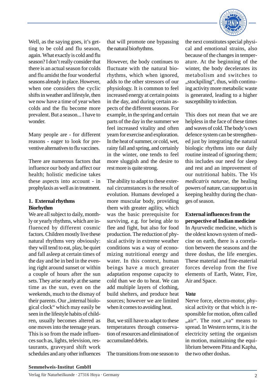

Well, as the saying goes, it's getting to be cold and flu season, again. What exactly is cold and flu season? I don't really consider that there is an actual season for colds and flu amidst the four wonderful seasons already in place. However, when one considers the cyclic shifts in weather and lifestyle, then we now have a time of year when colds and the flu become more prevalent. But a season... I have to wonder.

Many people are - for different reasons - eager to look for preventive alternatives to flu vaccines.

There are numerous factors that influence our body and affect our health; holistic medicine takes these aspects into account - in prophylaxis as well as in treatment.

## **1. External rhythms Biorhythm**

We are all subject to daily, monthly or yearly rhythms, which are influenced by different cosmic factors. Children mostly live these natural rhythms very obviously: they will tend to eat, play, be quiet and fall asleep at certain times of the day and be in bed in the evening right around sunset or within a couple of hours after the sun sets. They arise nearly at the same time as the sun, even on the weekends, much to the dismay of their parents. Our "internal biological clock" which may easily be seen in the lifestyle habits of children, usually becomes altered as one moves into the teenage years. This is so from the made influences such as, lights, television, restaurants, graveyard shift work schedules and any other influences

that will promote one bypassing the natural biorhythms.

However, the body continues to fluctuate with the natural biorhythms, which when ignored, adds to the other stressors of our physiology. It is common to feel increased energy at certain points in the day, and during certain aspects of the different seasons. For example, in the spring and certain parts of the day in the summer we feel increased vitality and often yearn for exercise and exploration. In the heat of summer, or cold, wet, rainy fall and spring, and certainly in the winter, one tends to feel more sluggish and the desire to rest more is quite strong.

The ability to adapt to these external circumstances is the result of evolution. Humans developed a more muscular body, providing them with greater agility, which was the basic prerequisite for surviving, e.g. for being able to flee and fight, but also for food production. The reduction of physical activity in extreme weather conditions was a way of economizing nutritional energy and water. In this context, human beings have a much greater adaptation response capacity to cold than we do to heat. We can add multiple layers of clothing, build shelters, and produce heat sources; however we are limited when it comes to avoiding heat.

But, we still have to adapt to these temperatures through conservation of resources and elimination of accumulated debris.

The transitions from one season to

the next constitutes special physical and emotional strains, also because of the changes in temperature. At the beginning of the winter, the body decelerates its metabolism and switches to "stockpiling", thus, with continuing activity more metabolic waste is generated, leading to a higher susceptibility to infection.

This does not mean that we are helpless in the face of these times and waves of cold. The body's own defence system can be strengthened just by integrating the natural biologic rhythms into our daily routine instead of ignoring them; this includes our need for sleep and rest and an improvement of our nutritional habits. The *Vis medicatrix naturae*, the healing powers of nature, can support us in keeping healthy during the changes of season.

# **External influences from the perspective of Indian medicine**

In Ayurvedic medicine, which is the oldest known system of medicine on earth, there is a correlation between the seasons and the three doshas, the life energies. These material and fine-material forces develop from the five elements of Earth, Water, Fire, Air and Space.

#### *Vata*

Nerve force, electro-motor, physical activity or that which is responsible for motion, often called "air". The root ",va" means to spread. In Western terms, it is the electricity setting the organism in motion, maintaining the equilibrium between Pitta and Kapha, the two other doshas.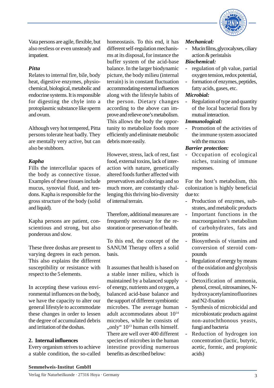

Vata persons are agile, flexible, but also restless or even unsteady and impatient.

## *Pitta*

Relates to internal fire, bile, body heat, digestive enzymes, physiochemical, biological, metabolic and endocrine systems. It is responsible for digesting the chyle into a protoplasmic substance like sperm and ovum.

Although very hot tempered, Pitta persons tolerate heat badly. They are mentally very active, but can also be stubborn.

## *Kapha*

Fills the intercellular spaces of the body as connective tissue. Examples of these tissues include mucus, synovial fluid, and tendons. Kapha is responsible for the gross structure of the body (solid and liquid).

Kapha persons are patient, conscientious and strong, but also ponderous and slow.

These three doshas are present to varying degrees in each person. This also explains the different susceptibility or resistance with respect to the 5 elements.

In accepting these various environmental influences on the body, we have the capacity to alter our general lifestyle to accommodate these changes in order to lessen the degree of accumulated debris and irritation of the doshas.

# **2. Internal influences**

Every organism strives to achieve a stable condition, the so-called homeostasis. To this end, it has different self-regulation mechanisms at its disposal, for instance the buffer system of the acid-base balance. In the larger biodynamic picture, the body milieu (internal terrain) is in constant fluctuation accommodating external influences along with the lifestyle habits of the person. Dietary changes according to the above can improve and relieve one's metabolism. This allows the body the opportunity to metabolize foods more efficiently and eliminate metabolic debris more easily.

However, stress, lack of rest, fast food, external toxins, lack of interaction with nature, genetically altered foods further affected with preservatives and colorings and so much more, are constantly challenging this thriving bio-diversity of internal terrain.

Therefore, additional measures are frequently necessary for the restoration or preservation of health.

To this end, the concept of the SANUM Therapy offers a solid basis.

It assumes that health is based on a stable inner milieu, which is maintained by a balanced supply of energy, nutrients and oxygen, a balanced acid-base balance and the support of different symbiontic microbes. The average human adult accommodates about 10<sup>14</sup> microbes, while he consists of "only" 10<sup>13</sup> human cells himself. There are well over 400 different species of microbes in the human intestine providing numerous benefits as described below:

#### *Mechanical:*

- Mucin films, glycocalyxes, ciliary action & peristalsis

#### *Biochemical:*

- regulation of ph value, partial oxygen tension, redox potential,
- formation of enzymes, peptides, fatty acids, gases, etc.

#### *Microbial:*

- Regulation of type and quantity of the local bacterial flora by mutual interaction.

#### *Immunological:*

Promotion of the activities of the immune system associated with the mucous

#### *Barrier protection:*

Occupation of ecological niches, training of immune responses.

For the host's metabolism, this colonization is highly beneficial due to:

- Production of enzymes, substrates, and metabolic products
- Important functions in the macroorganism's metabolism of carbohydrates, fats and proteins
- Biosynthesis of vitamins and conversion of steroid compounds
- Regulation of energy by means of the oxidation and glycolysis of foods
- Detoxification of ammonia. phenol, cresol, nitrosamines, Nhydroxyacetylaminofluorines and N2-fixation
- Synthesis of microbicidal and microbiostatic products against non-autochthonous yeasts, fungi and bacteria
- Reduction of hydrogen ion concentration (lactic, butyric, acetic, formic, and propionic acids)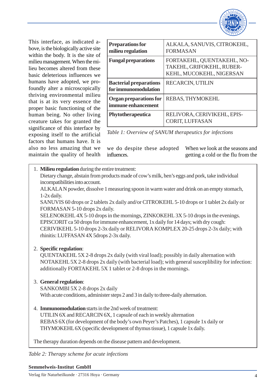

This interface, as indicated above, is the biologically active site within the body. It is the site of milieu management. When the milieu becomes altered from these basic deleterious influences we humans have adopted, we profoundly alter a microscopically thriving environmental milieu that is at its very essence the proper basic functioning of the human being. No other living creature takes for granted the significance of this interface by exposing itself to the artificial factors that humans have. It is also no less amazing that we maintain the quality of health

| <b>Preparations for</b><br>milieu regulation          | ALKALA, SANUVIS, CITROKEHL,<br><b>FORMASAN</b>                                      |
|-------------------------------------------------------|-------------------------------------------------------------------------------------|
| <b>Fungal preparations</b>                            | FORTAKEHL, QUENTAKEHL, NO-<br>TAKEHL, GRIFOKEHL, RUBER-<br>KEHL, MUCOKEHL, NIGERSAN |
| <b>Bacterial preparations</b><br>for immunomodulation | RECARCIN, UTILIN                                                                    |
| Organ preparations for<br>immune enhancement          | <b>REBAS, THYMOKEHL</b>                                                             |
| Phytotherapeutica                                     | RELIVORA, CERIVIKEHL, EPIS-<br><b>CORIT, LUFFASAN</b>                               |

*Table 1: Overview of SANUM therapeutics for infections*

we do despite these adopted influences. When we look at the seasons and getting a cold or the flu from the

## 1. **Milieu regulation** during the entire treatment:

Dietary change, abstain from products made of cow's milk, hen's eggs and pork, take individual incompatibilities into account.

ALKALA N powder, dissolve 1 measuring spoon in warm water and drink on an empty stomach, 1-2x daily.

SANUVIS 60 drops or 2 tablets 2x daily and/or CITROKEHL 5-10 drops or 1 tablet 2x daily or FORMASAN 5-10 drops 2x daily.

SELENOKEHL 4X 5-10 drops in the mornings, ZINKOKEHL 3X 5-10 drops in the evenings. EPISCORIT ca 50 drops for immune enhancement, 1x daily for 14 days; with dry cough: CERIVIKEHL 5-10 drops 2-3x daily or RELIVORA KOMPLEX 20-25 drops 2-3x daily; with rhinitis: LUFFASAN 4X 5drops 2-3x daily.

# 2. **Specific regulation**:

QUENTAKEHL 5X 2-8 drops 2x daily (with viral load); possibly in daily alternation with NOTAKEHL 5X 2-8 drops 2x daily (with bacterial load); with general susceplibility for infection: additionally FORTAKEHL 5X 1 tablet or 2-8 drops in the mornings.

# 3. **General regulation**:

SANKOMBI 5X 2-8 drops 2x daily With acute conditions, administer steps 2 and 3 in daily to three-daily alternation.

# 4. **Immunomodulation** starts in the 2nd week of treatment:

UTILIN 6X and RECARCIN 6X, 1 capsule of each in weekly alternation REBAS 6X (for development of the body's own Peyer's Patches), 1 capsule 1x daily or THYMOKEHL 6X (specific development of thymus tissue), 1 capsule 1x daily.

The therapy duration depends on the disease pattern and development.

*Table 2: Therapy scheme for acute infections*

#### **Semmelweis-Institut GmbH**